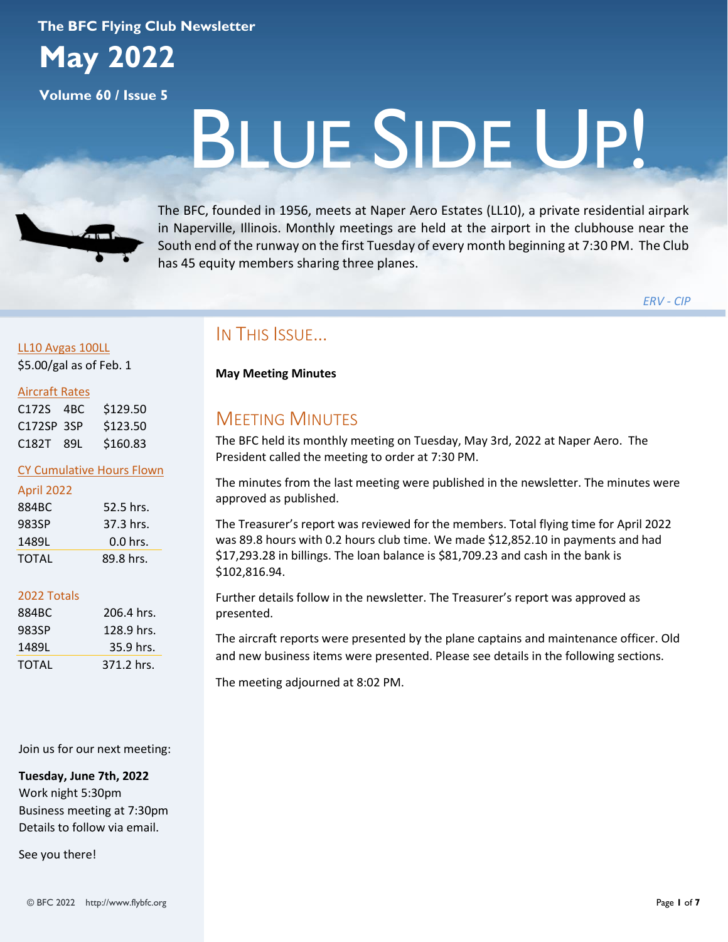### **The BFC Flying Club Newsletter**

**May 2022**

**Volume 60 / Issue 5**

# BLUE SIDE UP!



The BFC, founded in 1956, meets at Naper Aero Estates (LL10), a private residential airpark in Naperville, Illinois. Monthly meetings are held at the airport in the clubhouse near the South end of the runway on the first Tuesday of every month beginning at 7:30 PM. The Club has 45 equity members sharing three planes.

*ERV - CIP*

# LL10 Avgas 100LL

\$5.00/gal as of Feb. 1

### Aircraft Rates

| C172S 4BC  | \$129.50 |
|------------|----------|
| C172SP 3SP | \$123.50 |
| C182T 89L  | \$160.83 |

### CY Cumulative Hours Flown

| April 2022   |            |
|--------------|------------|
| 884BC        | 52.5 hrs.  |
| 983SP        | 37.3 hrs.  |
| 1489L        | $0.0$ hrs. |
| <b>TOTAL</b> | 89.8 hrs.  |

### 2022 Totals

| 884BC | 206.4 hrs.  |
|-------|-------------|
| 983SP | 128.9 hrs.  |
| 1489L | $35.9$ hrs. |
| TOTAL | 371.2 hrs.  |

### Join us for our next meeting:

**Tuesday, June 7th, 2022** Work night 5:30pm Business meeting at 7:30pm Details to follow via email.

See you there!

# IN THIS ISSUE…

### **May Meeting Minutes**

# MEETING MINUTES

The BFC held its monthly meeting on Tuesday, May 3rd, 2022 at Naper Aero. The President called the meeting to order at 7:30 PM.

The minutes from the last meeting were published in the newsletter. The minutes were approved as published.

The Treasurer's report was reviewed for the members. Total flying time for April 2022 was 89.8 hours with 0.2 hours club time. We made \$12,852.10 in payments and had \$17,293.28 in billings. The loan balance is \$81,709.23 and cash in the bank is \$102,816.94.

Further details follow in the newsletter. The Treasurer's report was approved as presented.

The aircraft reports were presented by the plane captains and maintenance officer. Old and new business items were presented. Please see details in the following sections.

The meeting adjourned at 8:02 PM.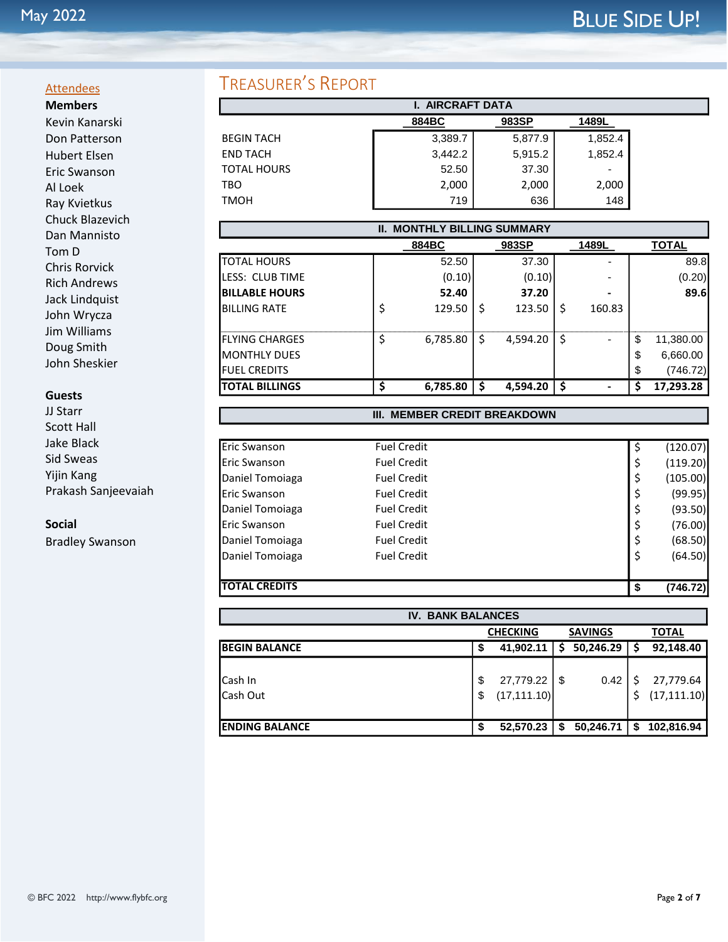### **Attendees Members**

Kevin Kanarski Don Patterson Hubert Elsen Eric Swanson Al Loek Ray Kvietkus Chuck Blazevich Dan Mannisto Tom D Chris Rorvick Rich Andrews Jack Lindquist John Wrycza Jim Williams Doug Smith John Sheskier

### **Guests**

JJ Starr Scott Hall Jake Black Sid Sweas Yijin Kang Prakash Sanjeevaiah

**Social**

Bradley Swanson

# TREASURER'S REPORT

| <b>I. AIRCRAFT DATA</b> |         |         |         |  |
|-------------------------|---------|---------|---------|--|
|                         | 884BC   | 983SP   | 1489L   |  |
| <b>BEGIN TACH</b>       | 3,389.7 | 5,877.9 | 1,852.4 |  |
| <b>END TACH</b>         | 3,442.2 | 5,915.2 | 1,852.4 |  |
| <b>TOTAL HOURS</b>      | 52.50   | 37.30   | ٠       |  |
| TBO                     | 2,000   | 2,000   | 2,000   |  |
| TMOH                    | 719     | 636     | 148     |  |

| <b>MONTHLY BILLING SUMMARY</b><br>II. |   |          |    |          |     |        |    |              |
|---------------------------------------|---|----------|----|----------|-----|--------|----|--------------|
|                                       |   | 884BC    |    | 983SP    |     | 1489L  |    | <b>TOTAL</b> |
| <b>TOTAL HOURS</b>                    |   | 52.50    |    | 37.30    |     |        |    | 89.8         |
| <b>I</b> LESS: CLUB TIME              |   | (0.10)   |    | (0.10)   |     |        |    | (0.20)       |
| <b>IBILLABLE HOURS</b>                |   | 52.40    |    | 37.20    |     |        |    | 89.6         |
| <b>BILLING RATE</b>                   |   | 129.50   | \$ | 123.50   | Ś   | 160.83 |    |              |
| <b>I</b> FLYING CHARGES               |   | 6,785.80 | \$ | 4,594.20 | .S  |        | \$ | 11,380.00    |
| <b>MONTHLY DUES</b>                   |   |          |    |          |     |        | \$ | 6,660.00     |
| <b>I</b> FUEL CREDITS                 |   |          |    |          |     |        | \$ | (746.72)     |
| <b>ITOTAL BILLINGS</b>                | Ś | 6,785.80 | S  | 4,594.20 | -\$ |        | S  | 17,293.28    |

### **III. MEMBER CREDIT BREAKDOWN**

| <b>TOTAL CREDITS</b> |                    |    | (746.72) |
|----------------------|--------------------|----|----------|
|                      |                    |    |          |
| Daniel Tomoiaga      | <b>Fuel Credit</b> | \$ | (64.50)  |
| Daniel Tomoiaga      | <b>Fuel Credit</b> |    | (68.50)  |
| Eric Swanson         | <b>Fuel Credit</b> |    | (76.00)  |
| Daniel Tomoiaga      | <b>Fuel Credit</b> |    | (93.50)  |
| Eric Swanson         | <b>Fuel Credit</b> |    | (99.95)  |
| Daniel Tomoiaga      | <b>Fuel Credit</b> | Ş  | (105.00) |
| Eric Swanson         | <b>Fuel Credit</b> | \$ | (119.20) |
| Eric Swanson         | <b>Fuel Credit</b> |    | (120.07) |
|                      |                    |    |          |

| <b>IV. BANK BALANCES</b>          |          |                           |      |           |    |                           |  |  |
|-----------------------------------|----------|---------------------------|------|-----------|----|---------------------------|--|--|
| <b>SAVINGS</b><br><b>CHECKING</b> |          |                           |      |           |    | <b>TOTAL</b>              |  |  |
| <b>BEGIN BALANCE</b>              | \$       | 41,902.11                 | S    | 50,246.29 |    | 92,148.40                 |  |  |
| Cash In<br>Cash Out               | \$<br>\$ | 27,779.22<br>(17, 111.10) | l \$ | 0.42      | \$ | 27,779.64<br>(17, 111.10) |  |  |
| <b>ENDING BALANCE</b>             | \$       | 52,570.23                 | \$   | 50,246.71 | \$ | 102,816.94                |  |  |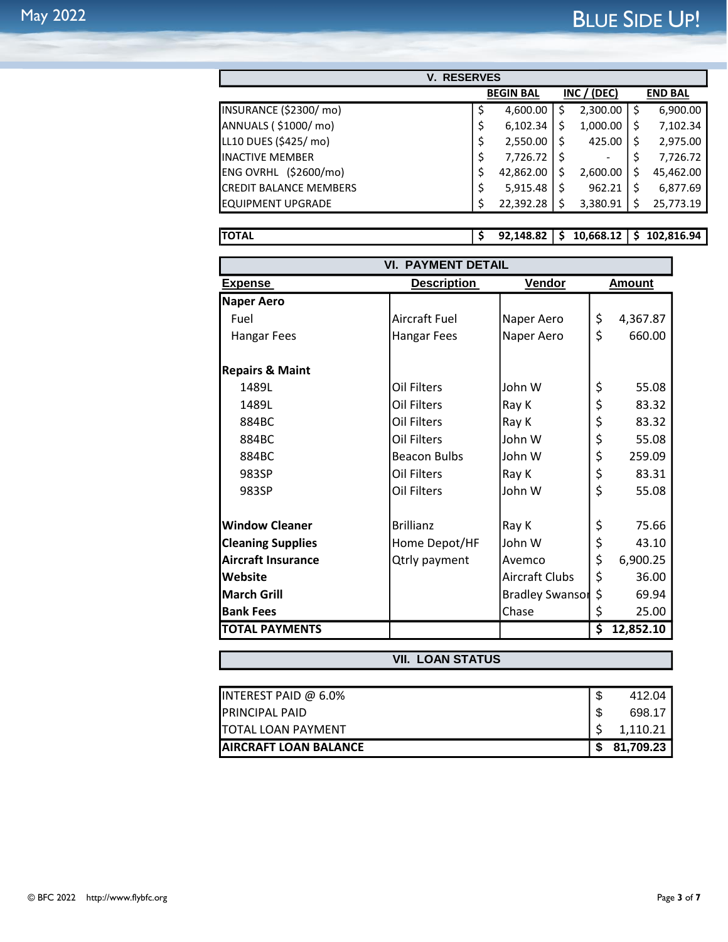| <b>RESERVES</b><br>V.         |    |                  |     |             |    |                |
|-------------------------------|----|------------------|-----|-------------|----|----------------|
|                               |    | <b>BEGIN BAL</b> |     | INC / (DEC) |    | <b>END BAL</b> |
| INSURANCE (\$2300/mo)         | \$ | 4,600.00         | \$  | 2,300.00    | \$ | 6,900.00       |
| ANNUALS (\$1000/mo)           | \$ | 6,102.34         | \$  | 1,000.00    | \$ | 7,102.34       |
| LL10 DUES (\$425/ mo)         | \$ | 2,550.00         | \$  | 425.00      | \$ | 2,975.00       |
| <b>INACTIVE MEMBER</b>        | \$ | 7,726.72         | \$. |             | \$ | 7,726.72       |
| ENG OVRHL (\$2600/mo)         | \$ | 42,862.00        | S   | 2,600.00    | Ś  | 45,462.00      |
| <b>CREDIT BALANCE MEMBERS</b> | \$ | 5,915.48         | \$  | 962.21      | Ś  | 6,877.69       |
| <b>EQUIPMENT UPGRADE</b>      | Ś  | 22,392.28        | \$  | 3,380.91    | \$ | 25,773.19      |
|                               |    |                  |     |             |    |                |

**TOTAL \$ 92,148.82 \$ 10,668.12 \$ 102,816.94**

| <b>VI. PAYMENT DETAIL</b>  |                      |                              |               |           |  |  |
|----------------------------|----------------------|------------------------------|---------------|-----------|--|--|
| <b>Expense</b>             | <b>Description</b>   | <b>Vendor</b>                | <b>Amount</b> |           |  |  |
| <b>Naper Aero</b>          |                      |                              |               |           |  |  |
| Fuel                       | <b>Aircraft Fuel</b> | Naper Aero                   | \$            | 4,367.87  |  |  |
| <b>Hangar Fees</b>         | <b>Hangar Fees</b>   | Naper Aero                   | \$            | 660.00    |  |  |
| <b>Repairs &amp; Maint</b> |                      |                              |               |           |  |  |
| 1489L                      | <b>Oil Filters</b>   | John W                       | \$            | 55.08     |  |  |
| 1489L                      | Oil Filters          | Ray K                        | \$            | 83.32     |  |  |
| 884BC                      | Oil Filters          | Ray K                        | \$            | 83.32     |  |  |
| 884BC                      | Oil Filters          | John W                       | \$            | 55.08     |  |  |
| 884BC                      | <b>Beacon Bulbs</b>  | John W                       | \$            | 259.09    |  |  |
| 983SP                      | Oil Filters          | Ray K                        | \$            | 83.31     |  |  |
| 983SP                      | <b>Oil Filters</b>   | John W                       | \$            | 55.08     |  |  |
| <b>Window Cleaner</b>      | <b>Brillianz</b>     | Ray K                        | \$            | 75.66     |  |  |
| <b>Cleaning Supplies</b>   | Home Depot/HF        | John W                       | \$            | 43.10     |  |  |
| <b>Aircraft Insurance</b>  | <b>Qtrly payment</b> | Avemco                       | \$            | 6,900.25  |  |  |
| Website                    |                      | <b>Aircraft Clubs</b>        | \$            | 36.00     |  |  |
| <b>March Grill</b>         |                      | \$<br><b>Bradley Swansor</b> |               | 69.94     |  |  |
| <b>Bank Fees</b>           |                      | Chase                        | \$            | 25.00     |  |  |
| <b>TOTAL PAYMENTS</b>      |                      |                              | \$            | 12,852.10 |  |  |

# **VII. LOAN STATUS**

| INTEREST PAID $@$ 6.0%        | 412.04    |
|-------------------------------|-----------|
| <b>IPRINCIPAL PAID</b>        | 698.17    |
| <b>ITOTAL LOAN PAYMENT</b>    | 1.110.21  |
| <b>IAIRCRAFT LOAN BALANCE</b> | 81.709.23 |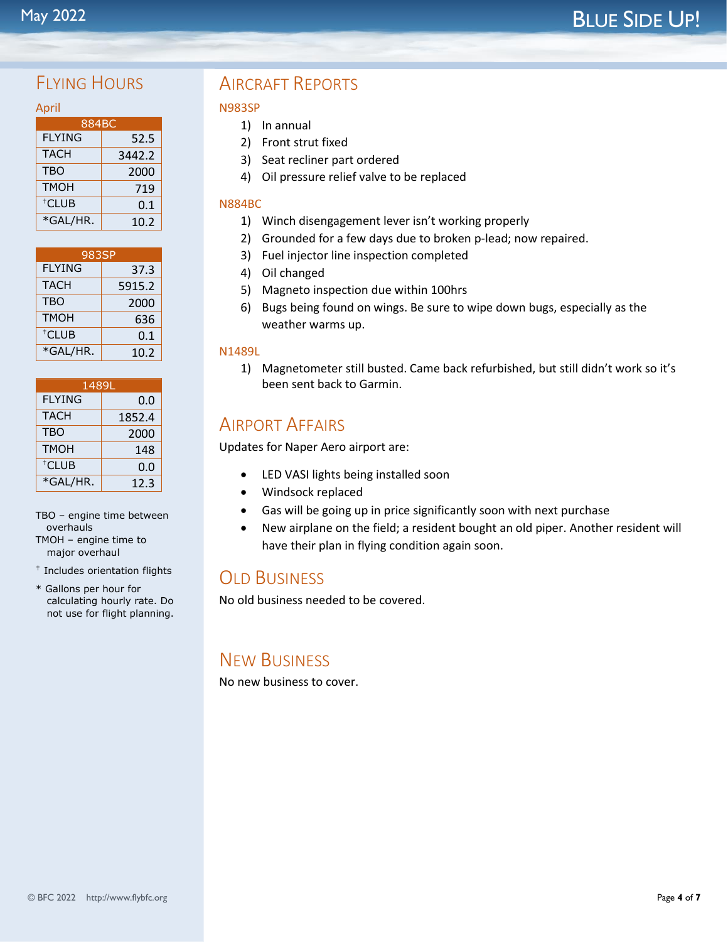# FIYING HOURS

| April          |  |
|----------------|--|
| 884BC          |  |
| <b>FI YING</b> |  |
| TACH           |  |

| FLYING            | 52.5   |
|-------------------|--------|
| TACH              | 3442.2 |
| TBO               | 2000   |
| <b>TMOH</b>       | 719    |
| <sup>†</sup> CLUB | 0.1    |
| *GAL/HR.          | 10.2   |

| 983SP             |        |  |  |
|-------------------|--------|--|--|
| <b>FLYING</b>     | 37.3   |  |  |
| <b>TACH</b>       | 5915.2 |  |  |
| <b>TBO</b>        | 2000   |  |  |
| <b>TMOH</b>       | 636    |  |  |
| <sup>†</sup> CLUB | 0.1    |  |  |
| *GAL/HR.          | 10.2   |  |  |

| 1489L             |        |  |
|-------------------|--------|--|
| <b>FLYING</b>     | 0.0    |  |
| <b>TACH</b>       | 1852.4 |  |
| <b>TBO</b>        | 2000   |  |
| <b>TMOH</b>       | 148    |  |
| <sup>†</sup> CLUB | 0.0    |  |
| *GAL/HR.          | 12.3   |  |

TBO – engine time between overhauls TMOH – engine time to major overhaul

- † Includes orientation flights
- \* Gallons per hour for calculating hourly rate. Do not use for flight planning.

# AIRCRAFT REPORTS

### N983SP

- 1) In annual
- 2) Front strut fixed
- 3) Seat recliner part ordered
- 4) Oil pressure relief valve to be replaced

### N884BC

- 1) Winch disengagement lever isn't working properly
- 2) Grounded for a few days due to broken p-lead; now repaired.
- 3) Fuel injector line inspection completed
- 4) Oil changed
- 5) Magneto inspection due within 100hrs
- 6) Bugs being found on wings. Be sure to wipe down bugs, especially as the weather warms up.

### N1489L

1) Magnetometer still busted. Came back refurbished, but still didn't work so it's been sent back to Garmin.

# AIRPORT AFFAIRS

Updates for Naper Aero airport are:

- LED VASI lights being installed soon
- Windsock replaced
- Gas will be going up in price significantly soon with next purchase
- New airplane on the field; a resident bought an old piper. Another resident will have their plan in flying condition again soon.

# **OLD BUSINESS**

No old business needed to be covered.

# NEW BUSINESS

No new business to cover.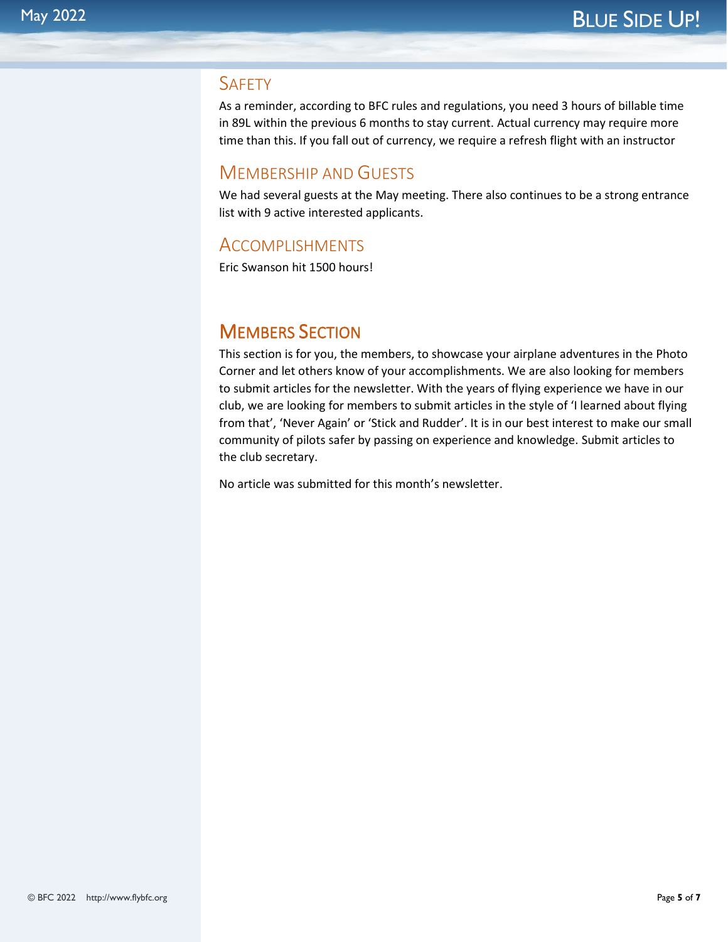## **SAFETY**

As a reminder, according to BFC rules and regulations, you need 3 hours of billable time in 89L within the previous 6 months to stay current. Actual currency may require more time than this. If you fall out of currency, we require a refresh flight with an instructor

# MEMBERSHIP AND GUESTS

We had several guests at the May meeting. There also continues to be a strong entrance list with 9 active interested applicants.

# ACCOMPLISHMENTS

Eric Swanson hit 1500 hours!

# MEMBERS SECTION

This section is for you, the members, to showcase your airplane adventures in the Photo Corner and let others know of your accomplishments. We are also looking for members to submit articles for the newsletter. With the years of flying experience we have in our club, we are looking for members to submit articles in the style of 'I learned about flying from that', 'Never Again' or 'Stick and Rudder'. It is in our best interest to make our small community of pilots safer by passing on experience and knowledge. Submit articles to the club secretary.

No article was submitted for this month's newsletter.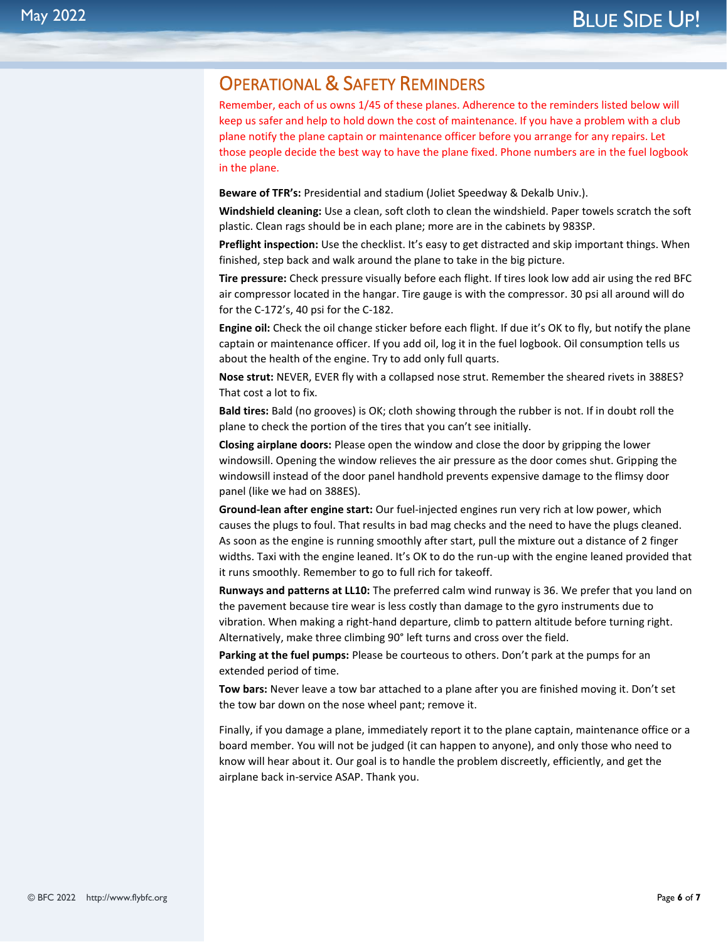# OPERATIONAL & SAFETY REMINDERS

Remember, each of us owns 1/45 of these planes. Adherence to the reminders listed below will keep us safer and help to hold down the cost of maintenance. If you have a problem with a club plane notify the plane captain or maintenance officer before you arrange for any repairs. Let those people decide the best way to have the plane fixed. Phone numbers are in the fuel logbook in the plane.

**Beware of TFR's:** Presidential and stadium (Joliet Speedway & Dekalb Univ.).

**Windshield cleaning:** Use a clean, soft cloth to clean the windshield. Paper towels scratch the soft plastic. Clean rags should be in each plane; more are in the cabinets by 983SP.

**Preflight inspection:** Use the checklist. It's easy to get distracted and skip important things. When finished, step back and walk around the plane to take in the big picture.

**Tire pressure:** Check pressure visually before each flight. If tires look low add air using the red BFC air compressor located in the hangar. Tire gauge is with the compressor. 30 psi all around will do for the C-172's, 40 psi for the C-182.

**Engine oil:** Check the oil change sticker before each flight. If due it's OK to fly, but notify the plane captain or maintenance officer. If you add oil, log it in the fuel logbook. Oil consumption tells us about the health of the engine. Try to add only full quarts.

**Nose strut:** NEVER, EVER fly with a collapsed nose strut. Remember the sheared rivets in 388ES? That cost a lot to fix.

**Bald tires:** Bald (no grooves) is OK; cloth showing through the rubber is not. If in doubt roll the plane to check the portion of the tires that you can't see initially.

**Closing airplane doors:** Please open the window and close the door by gripping the lower windowsill. Opening the window relieves the air pressure as the door comes shut. Gripping the windowsill instead of the door panel handhold prevents expensive damage to the flimsy door panel (like we had on 388ES).

**Ground-lean after engine start:** Our fuel-injected engines run very rich at low power, which causes the plugs to foul. That results in bad mag checks and the need to have the plugs cleaned. As soon as the engine is running smoothly after start, pull the mixture out a distance of 2 finger widths. Taxi with the engine leaned. It's OK to do the run-up with the engine leaned provided that it runs smoothly. Remember to go to full rich for takeoff.

**Runways and patterns at LL10:** The preferred calm wind runway is 36. We prefer that you land on the pavement because tire wear is less costly than damage to the gyro instruments due to vibration. When making a right-hand departure, climb to pattern altitude before turning right. Alternatively, make three climbing 90° left turns and cross over the field.

**Parking at the fuel pumps:** Please be courteous to others. Don't park at the pumps for an extended period of time.

**Tow bars:** Never leave a tow bar attached to a plane after you are finished moving it. Don't set the tow bar down on the nose wheel pant; remove it.

Finally, if you damage a plane, immediately report it to the plane captain, maintenance office or a board member. You will not be judged (it can happen to anyone), and only those who need to know will hear about it. Our goal is to handle the problem discreetly, efficiently, and get the airplane back in-service ASAP. Thank you.